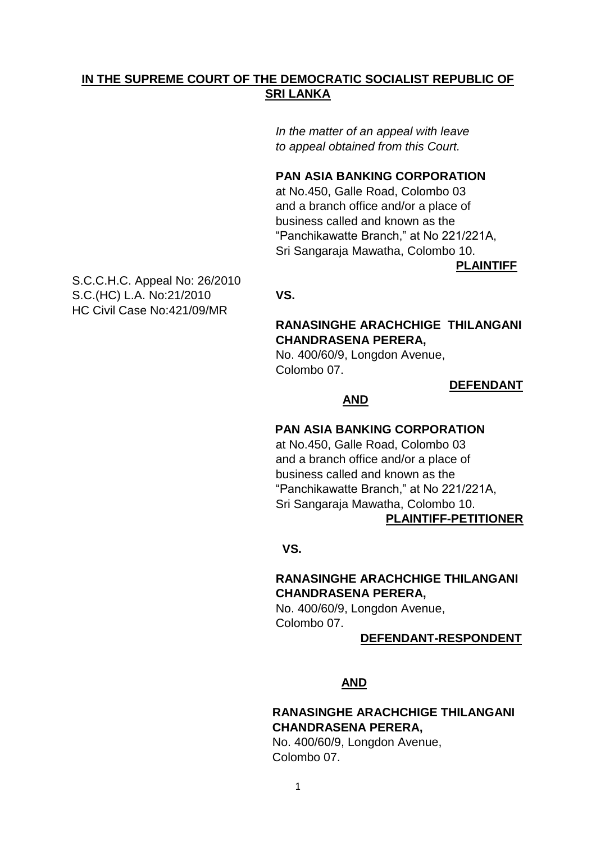# **IN THE SUPREME COURT OF THE DEMOCRATIC SOCIALIST REPUBLIC OF SRI LANKA**

 *In the matter of an appeal with leave to appeal obtained from this Court.*

#### **PAN ASIA BANKING CORPORATION**

 at No.450, Galle Road, Colombo 03 and a branch office and/or a place of business called and known as the "Panchikawatte Branch," at No 221/221A, Sri Sangaraja Mawatha, Colombo 10.

**PLAINTIFF**

S.C.C.H.C. Appeal No: 26/2010 S.C.(HC) L.A. No:21/2010 **VS.** HC Civil Case No:421/09/MR

### **RANASINGHE ARACHCHIGE THILANGANI CHANDRASENA PERERA,**

No. 400/60/9, Longdon Avenue, Colombo 07.

#### **DEFENDANT**

# **AND**

# **PAN ASIA BANKING CORPORATION**

 at No.450, Galle Road, Colombo 03 and a branch office and/or a place of business called and known as the "Panchikawatte Branch," at No 221/221A, Sri Sangaraja Mawatha, Colombo 10. **PLAINTIFF-PETITIONER**

#### *<u> VS.</u>*

#### **RANASINGHE ARACHCHIGE THILANGANI CHANDRASENA PERERA,**

No. 400/60/9, Longdon Avenue, Colombo 07.

#### **DEFENDANT-RESPONDENT**

#### **AND**

# **RANASINGHE ARACHCHIGE THILANGANI CHANDRASENA PERERA,**

No. 400/60/9, Longdon Avenue, Colombo 07.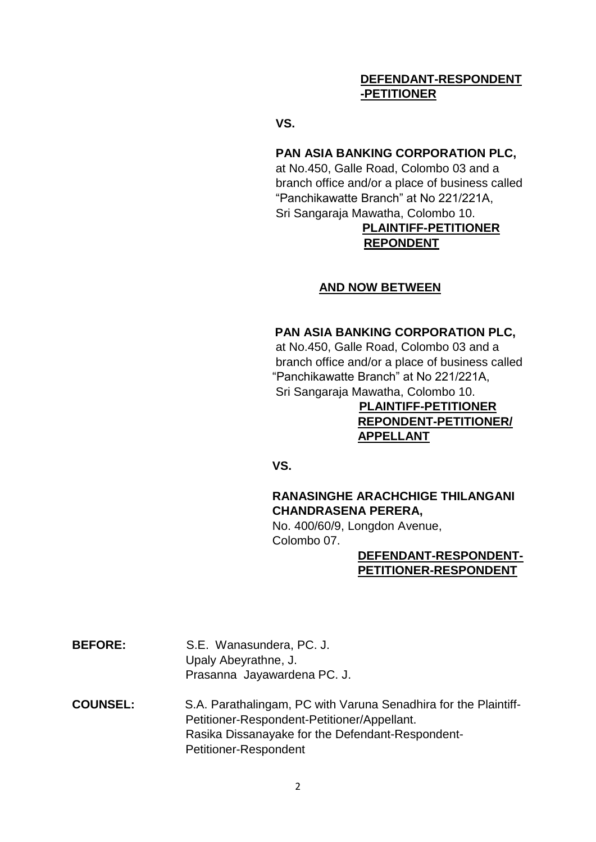# **DEFENDANT-RESPONDENT -PETITIONER**

**VS.**

# **PAN ASIA BANKING CORPORATION PLC,**

 at No.450, Galle Road, Colombo 03 and a branch office and/or a place of business called "Panchikawatte Branch" at No 221/221A, Sri Sangaraja Mawatha, Colombo 10.

# **PLAINTIFF-PETITIONER REPONDENT**

# **AND NOW BETWEEN**

# **PAN ASIA BANKING CORPORATION PLC,**

 at No.450, Galle Road, Colombo 03 and a branch office and/or a place of business called "Panchikawatte Branch" at No 221/221A, Sri Sangaraja Mawatha, Colombo 10.

> **PLAINTIFF-PETITIONER REPONDENT-PETITIONER/ APPELLANT**

 **VS.**

# **RANASINGHE ARACHCHIGE THILANGANI CHANDRASENA PERERA,**

No. 400/60/9, Longdon Avenue, Colombo 07.

## **DEFENDANT-RESPONDENT- PETITIONER-RESPONDENT**

- **BEFORE:** S.E. Wanasundera, PC. J. Upaly Abeyrathne, J. Prasanna Jayawardena PC. J.
- **COUNSEL:** S.A. Parathalingam, PC with Varuna Senadhira for the Plaintiff- Petitioner-Respondent-Petitioner/Appellant. Rasika Dissanayake for the Defendant-Respondent- Petitioner-Respondent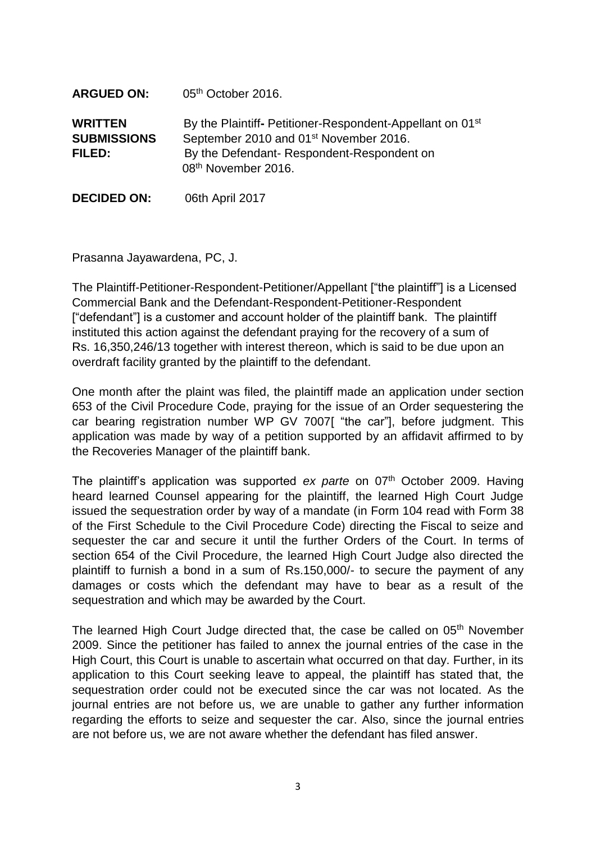| <b>ARGUED ON:</b>                              | 05th October 2016.                                                                                                                                                                             |
|------------------------------------------------|------------------------------------------------------------------------------------------------------------------------------------------------------------------------------------------------|
| <b>WRITTEN</b><br><b>SUBMISSIONS</b><br>FILED: | By the Plaintiff-Petitioner-Respondent-Appellant on 01 <sup>st</sup><br>September 2010 and 01 <sup>st</sup> November 2016.<br>By the Defendant-Respondent-Respondent on<br>08th November 2016. |

**DECIDED ON:** 06th April 2017

Prasanna Jayawardena, PC, J.

The Plaintiff-Petitioner-Respondent-Petitioner/Appellant ["the plaintiff"] is a Licensed Commercial Bank and the Defendant-Respondent-Petitioner-Respondent ["defendant"] is a customer and account holder of the plaintiff bank. The plaintiff instituted this action against the defendant praying for the recovery of a sum of Rs. 16,350,246/13 together with interest thereon, which is said to be due upon an overdraft facility granted by the plaintiff to the defendant.

One month after the plaint was filed, the plaintiff made an application under section 653 of the Civil Procedure Code, praying for the issue of an Order sequestering the car bearing registration number WP GV 7007[ "the car"], before judgment. This application was made by way of a petition supported by an affidavit affirmed to by the Recoveries Manager of the plaintiff bank.

The plaintiff's application was supported *ex parte* on 07<sup>th</sup> October 2009. Having heard learned Counsel appearing for the plaintiff, the learned High Court Judge issued the sequestration order by way of a mandate (in Form 104 read with Form 38 of the First Schedule to the Civil Procedure Code) directing the Fiscal to seize and sequester the car and secure it until the further Orders of the Court. In terms of section 654 of the Civil Procedure, the learned High Court Judge also directed the plaintiff to furnish a bond in a sum of Rs.150,000/- to secure the payment of any damages or costs which the defendant may have to bear as a result of the sequestration and which may be awarded by the Court.

The learned High Court Judge directed that, the case be called on 05<sup>th</sup> November 2009. Since the petitioner has failed to annex the journal entries of the case in the High Court, this Court is unable to ascertain what occurred on that day. Further, in its application to this Court seeking leave to appeal, the plaintiff has stated that, the sequestration order could not be executed since the car was not located. As the journal entries are not before us, we are unable to gather any further information regarding the efforts to seize and sequester the car. Also, since the journal entries are not before us, we are not aware whether the defendant has filed answer.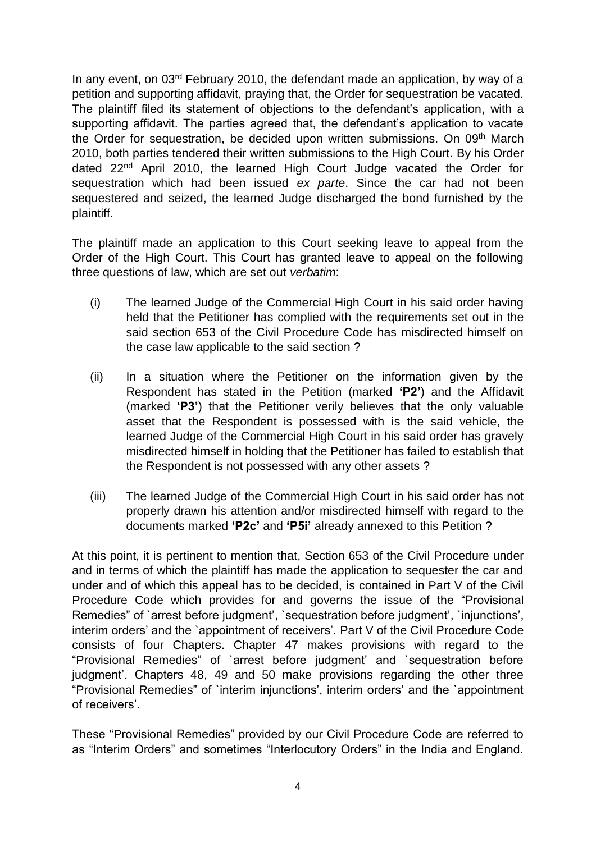In any event, on 03<sup>rd</sup> February 2010, the defendant made an application, by way of a petition and supporting affidavit, praying that, the Order for sequestration be vacated. The plaintiff filed its statement of objections to the defendant's application, with a supporting affidavit. The parties agreed that, the defendant's application to vacate the Order for sequestration, be decided upon written submissions. On 09<sup>th</sup> March 2010, both parties tendered their written submissions to the High Court. By his Order dated 22nd April 2010, the learned High Court Judge vacated the Order for sequestration which had been issued *ex parte*. Since the car had not been sequestered and seized, the learned Judge discharged the bond furnished by the plaintiff.

The plaintiff made an application to this Court seeking leave to appeal from the Order of the High Court. This Court has granted leave to appeal on the following three questions of law, which are set out *verbatim*:

- (i) The learned Judge of the Commercial High Court in his said order having held that the Petitioner has complied with the requirements set out in the said section 653 of the Civil Procedure Code has misdirected himself on the case law applicable to the said section ?
- (ii) In a situation where the Petitioner on the information given by the Respondent has stated in the Petition (marked **'P2'**) and the Affidavit (marked **'P3'**) that the Petitioner verily believes that the only valuable asset that the Respondent is possessed with is the said vehicle, the learned Judge of the Commercial High Court in his said order has gravely misdirected himself in holding that the Petitioner has failed to establish that the Respondent is not possessed with any other assets ?
- (iii) The learned Judge of the Commercial High Court in his said order has not properly drawn his attention and/or misdirected himself with regard to the documents marked **'P2c'** and **'P5i'** already annexed to this Petition ?

At this point, it is pertinent to mention that, Section 653 of the Civil Procedure under and in terms of which the plaintiff has made the application to sequester the car and under and of which this appeal has to be decided, is contained in Part V of the Civil Procedure Code which provides for and governs the issue of the "Provisional Remedies" of `arrest before judgment', `sequestration before judgment', `injunctions', interim orders' and the `appointment of receivers'. Part V of the Civil Procedure Code consists of four Chapters. Chapter 47 makes provisions with regard to the "Provisional Remedies" of `arrest before judgment' and `sequestration before judgment'. Chapters 48, 49 and 50 make provisions regarding the other three "Provisional Remedies" of `interim injunctions', interim orders' and the `appointment of receivers'.

These "Provisional Remedies" provided by our Civil Procedure Code are referred to as "Interim Orders" and sometimes "Interlocutory Orders" in the India and England.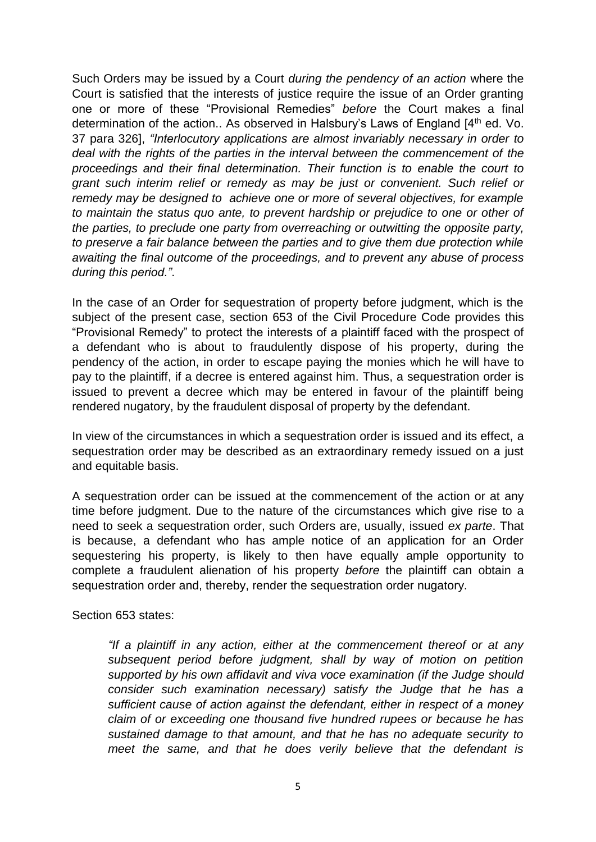Such Orders may be issued by a Court *during the pendency of an action* where the Court is satisfied that the interests of justice require the issue of an Order granting one or more of these "Provisional Remedies" *before* the Court makes a final determination of the action.. As observed in Halsbury's Laws of England [4<sup>th</sup> ed. Vo. 37 para 326], *"Interlocutory applications are almost invariably necessary in order to deal with the rights of the parties in the interval between the commencement of the proceedings and their final determination. Their function is to enable the court to grant such interim relief or remedy as may be just or convenient. Such relief or remedy may be designed to achieve one or more of several objectives, for example to maintain the status quo ante, to prevent hardship or prejudice to one or other of the parties, to preclude one party from overreaching or outwitting the opposite party, to preserve a fair balance between the parties and to give them due protection while awaiting the final outcome of the proceedings, and to prevent any abuse of process during this period."*.

In the case of an Order for sequestration of property before judgment, which is the subject of the present case, section 653 of the Civil Procedure Code provides this "Provisional Remedy" to protect the interests of a plaintiff faced with the prospect of a defendant who is about to fraudulently dispose of his property, during the pendency of the action, in order to escape paying the monies which he will have to pay to the plaintiff, if a decree is entered against him. Thus, a sequestration order is issued to prevent a decree which may be entered in favour of the plaintiff being rendered nugatory, by the fraudulent disposal of property by the defendant.

In view of the circumstances in which a sequestration order is issued and its effect, a sequestration order may be described as an extraordinary remedy issued on a just and equitable basis.

A sequestration order can be issued at the commencement of the action or at any time before judgment. Due to the nature of the circumstances which give rise to a need to seek a sequestration order, such Orders are, usually, issued *ex parte*. That is because, a defendant who has ample notice of an application for an Order sequestering his property, is likely to then have equally ample opportunity to complete a fraudulent alienation of his property *before* the plaintiff can obtain a sequestration order and, thereby, render the sequestration order nugatory.

Section 653 states:

*"If a plaintiff in any action, either at the commencement thereof or at any subsequent period before judgment, shall by way of motion on petition supported by his own affidavit and viva voce examination (if the Judge should consider such examination necessary) satisfy the Judge that he has a sufficient cause of action against the defendant, either in respect of a money claim of or exceeding one thousand five hundred rupees or because he has sustained damage to that amount, and that he has no adequate security to meet the same, and that he does verily believe that the defendant is*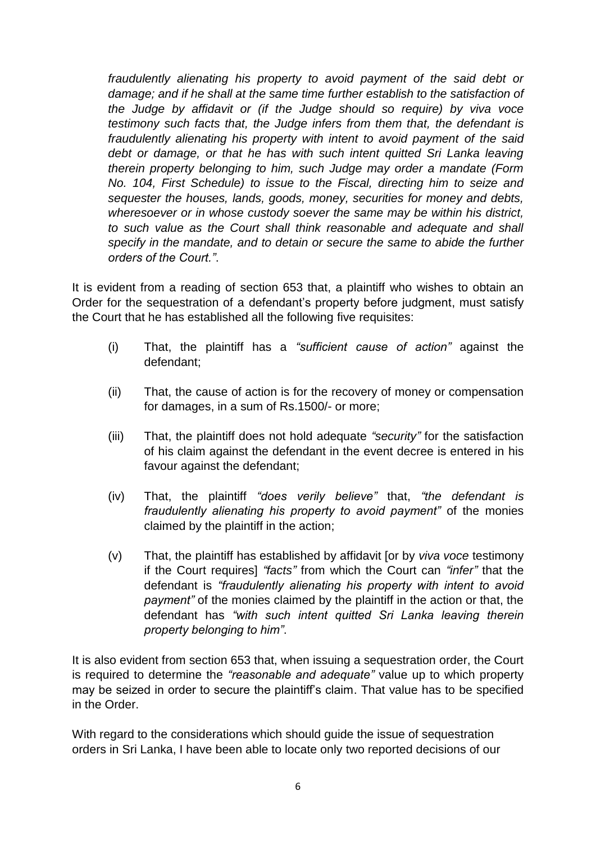*fraudulently alienating his property to avoid payment of the said debt or damage; and if he shall at the same time further establish to the satisfaction of the Judge by affidavit or (if the Judge should so require) by viva voce testimony such facts that, the Judge infers from them that, the defendant is fraudulently alienating his property with intent to avoid payment of the said*  debt or damage, or that he has with such intent quitted Sri Lanka leaving *therein property belonging to him, such Judge may order a mandate (Form No. 104, First Schedule) to issue to the Fiscal, directing him to seize and sequester the houses, lands, goods, money, securities for money and debts, wheresoever or in whose custody soever the same may be within his district, to such value as the Court shall think reasonable and adequate and shall specify in the mandate, and to detain or secure the same to abide the further orders of the Court."*.

It is evident from a reading of section 653 that, a plaintiff who wishes to obtain an Order for the sequestration of a defendant's property before judgment, must satisfy the Court that he has established all the following five requisites:

- (i) That, the plaintiff has a *"sufficient cause of action"* against the defendant;
- (ii) That, the cause of action is for the recovery of money or compensation for damages, in a sum of Rs.1500/- or more;
- (iii) That, the plaintiff does not hold adequate *"security"* for the satisfaction of his claim against the defendant in the event decree is entered in his favour against the defendant;
- (iv) That, the plaintiff *"does verily believe"* that, *"the defendant is fraudulently alienating his property to avoid payment"* of the monies claimed by the plaintiff in the action;
- (v) That, the plaintiff has established by affidavit [or by *viva voce* testimony if the Court requires] *"facts"* from which the Court can *"infer"* that the defendant is *"fraudulently alienating his property with intent to avoid payment"* of the monies claimed by the plaintiff in the action or that, the defendant has *"with such intent quitted Sri Lanka leaving therein property belonging to him"*.

It is also evident from section 653 that, when issuing a sequestration order, the Court is required to determine the *"reasonable and adequate"* value up to which property may be seized in order to secure the plaintiff's claim. That value has to be specified in the Order.

With regard to the considerations which should guide the issue of sequestration orders in Sri Lanka, I have been able to locate only two reported decisions of our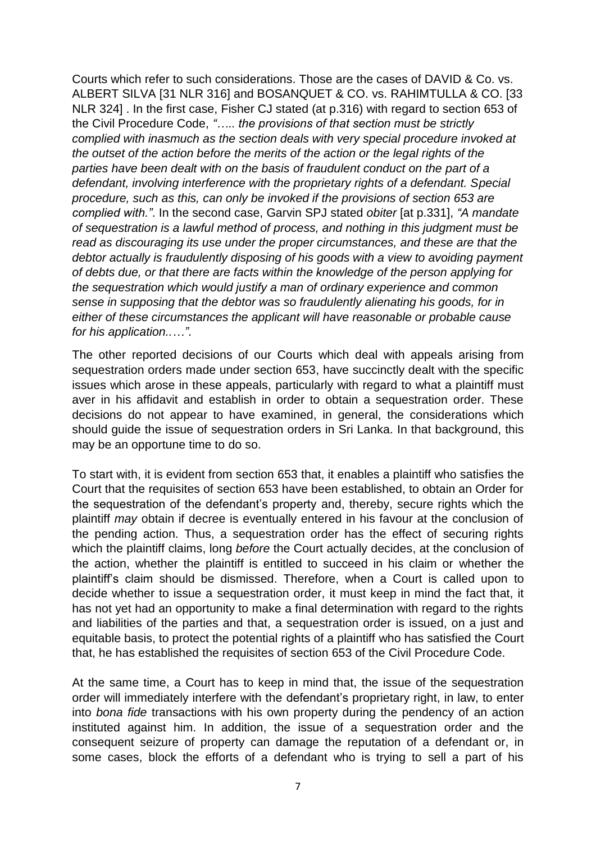Courts which refer to such considerations. Those are the cases of DAVID & Co. vs. ALBERT SILVA [31 NLR 316] and BOSANQUET & CO. vs. RAHIMTULLA & CO. [33 NLR 324] . In the first case, Fisher CJ stated (at p.316) with regard to section 653 of the Civil Procedure Code, *"….. the provisions of that section must be strictly complied with inasmuch as the section deals with very special procedure invoked at the outset of the action before the merits of the action or the legal rights of the parties have been dealt with on the basis of fraudulent conduct on the part of a defendant, involving interference with the proprietary rights of a defendant. Special procedure, such as this, can only be invoked if the provisions of section 653 are complied with."*. In the second case, Garvin SPJ stated *obiter* [at p.331], *"A mandate of sequestration is a lawful method of process, and nothing in this judgment must be read as discouraging its use under the proper circumstances, and these are that the debtor actually is fraudulently disposing of his goods with a view to avoiding payment of debts due, or that there are facts within the knowledge of the person applying for the sequestration which would justify a man of ordinary experience and common sense in supposing that the debtor was so fraudulently alienating his goods, for in either of these circumstances the applicant will have reasonable or probable cause for his application..…"*.

The other reported decisions of our Courts which deal with appeals arising from sequestration orders made under section 653, have succinctly dealt with the specific issues which arose in these appeals, particularly with regard to what a plaintiff must aver in his affidavit and establish in order to obtain a sequestration order. These decisions do not appear to have examined, in general, the considerations which should guide the issue of sequestration orders in Sri Lanka. In that background, this may be an opportune time to do so.

To start with, it is evident from section 653 that, it enables a plaintiff who satisfies the Court that the requisites of section 653 have been established, to obtain an Order for the sequestration of the defendant's property and, thereby, secure rights which the plaintiff *may* obtain if decree is eventually entered in his favour at the conclusion of the pending action. Thus, a sequestration order has the effect of securing rights which the plaintiff claims, long *before* the Court actually decides, at the conclusion of the action, whether the plaintiff is entitled to succeed in his claim or whether the plaintiff's claim should be dismissed. Therefore, when a Court is called upon to decide whether to issue a sequestration order, it must keep in mind the fact that, it has not yet had an opportunity to make a final determination with regard to the rights and liabilities of the parties and that, a sequestration order is issued, on a just and equitable basis, to protect the potential rights of a plaintiff who has satisfied the Court that, he has established the requisites of section 653 of the Civil Procedure Code.

At the same time, a Court has to keep in mind that, the issue of the sequestration order will immediately interfere with the defendant's proprietary right, in law, to enter into *bona fide* transactions with his own property during the pendency of an action instituted against him. In addition, the issue of a sequestration order and the consequent seizure of property can damage the reputation of a defendant or, in some cases, block the efforts of a defendant who is trying to sell a part of his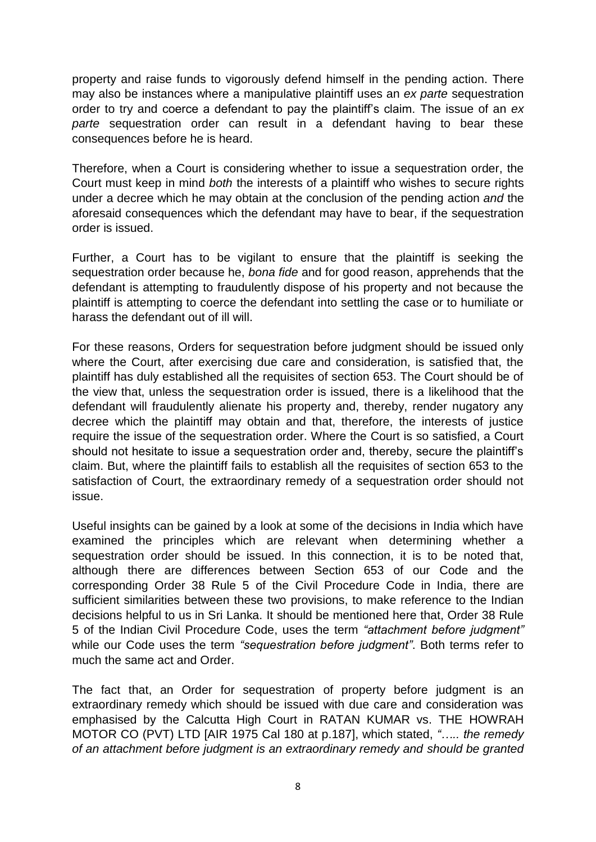property and raise funds to vigorously defend himself in the pending action. There may also be instances where a manipulative plaintiff uses an *ex parte* sequestration order to try and coerce a defendant to pay the plaintiff's claim. The issue of an *ex parte* sequestration order can result in a defendant having to bear these consequences before he is heard.

Therefore, when a Court is considering whether to issue a sequestration order, the Court must keep in mind *both* the interests of a plaintiff who wishes to secure rights under a decree which he may obtain at the conclusion of the pending action *and* the aforesaid consequences which the defendant may have to bear, if the sequestration order is issued.

Further, a Court has to be vigilant to ensure that the plaintiff is seeking the sequestration order because he, *bona fide* and for good reason, apprehends that the defendant is attempting to fraudulently dispose of his property and not because the plaintiff is attempting to coerce the defendant into settling the case or to humiliate or harass the defendant out of ill will.

For these reasons, Orders for sequestration before judgment should be issued only where the Court, after exercising due care and consideration, is satisfied that, the plaintiff has duly established all the requisites of section 653. The Court should be of the view that, unless the sequestration order is issued, there is a likelihood that the defendant will fraudulently alienate his property and, thereby, render nugatory any decree which the plaintiff may obtain and that, therefore, the interests of justice require the issue of the sequestration order. Where the Court is so satisfied, a Court should not hesitate to issue a sequestration order and, thereby, secure the plaintiff's claim. But, where the plaintiff fails to establish all the requisites of section 653 to the satisfaction of Court, the extraordinary remedy of a sequestration order should not issue.

Useful insights can be gained by a look at some of the decisions in India which have examined the principles which are relevant when determining whether a sequestration order should be issued. In this connection, it is to be noted that, although there are differences between Section 653 of our Code and the corresponding Order 38 Rule 5 of the Civil Procedure Code in India, there are sufficient similarities between these two provisions, to make reference to the Indian decisions helpful to us in Sri Lanka. It should be mentioned here that, Order 38 Rule 5 of the Indian Civil Procedure Code, uses the term *"attachment before judgment"*  while our Code uses the term *"sequestration before judgment"*. Both terms refer to much the same act and Order.

The fact that, an Order for sequestration of property before judgment is an extraordinary remedy which should be issued with due care and consideration was emphasised by the Calcutta High Court in RATAN KUMAR vs. THE HOWRAH MOTOR CO (PVT) LTD [AIR 1975 Cal 180 at p.187], which stated, *"….. the remedy of an attachment before judgment is an extraordinary remedy and should be granted*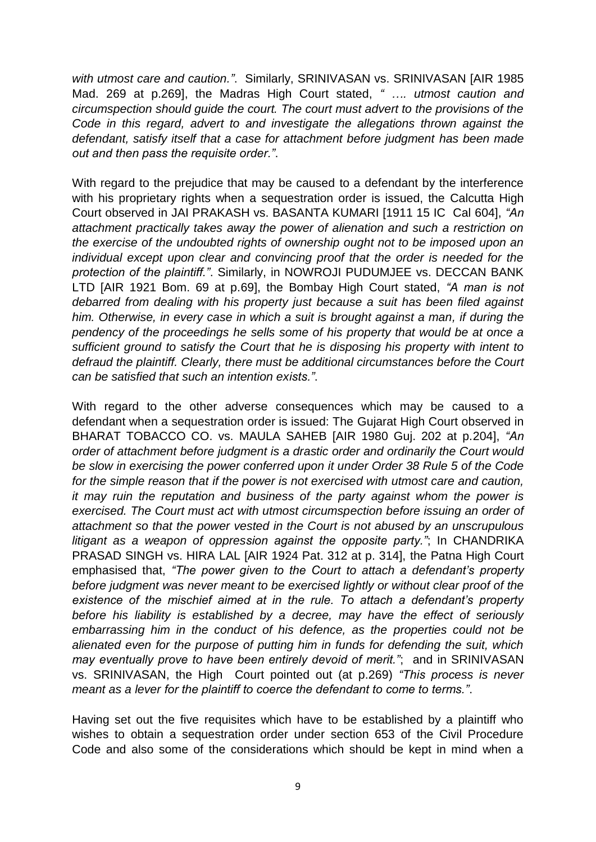*with utmost care and caution."*. Similarly, SRINIVASAN vs. SRINIVASAN [AIR 1985 Mad. 269 at p.269], the Madras High Court stated, *" …. utmost caution and circumspection should guide the court. The court must advert to the provisions of the Code in this regard, advert to and investigate the allegations thrown against the defendant, satisfy itself that a case for attachment before judgment has been made out and then pass the requisite order."*.

With regard to the prejudice that may be caused to a defendant by the interference with his proprietary rights when a sequestration order is issued, the Calcutta High Court observed in JAI PRAKASH vs. BASANTA KUMARI [1911 15 IC Cal 604], *"An attachment practically takes away the power of alienation and such a restriction on the exercise of the undoubted rights of ownership ought not to be imposed upon an individual except upon clear and convincing proof that the order is needed for the protection of the plaintiff."*. Similarly, in NOWROJI PUDUMJEE vs. DECCAN BANK LTD [AIR 1921 Bom. 69 at p.69], the Bombay High Court stated, *"A man is not debarred from dealing with his property just because a suit has been filed against him. Otherwise, in every case in which a suit is brought against a man, if during the pendency of the proceedings he sells some of his property that would be at once a sufficient ground to satisfy the Court that he is disposing his property with intent to defraud the plaintiff. Clearly, there must be additional circumstances before the Court can be satisfied that such an intention exists."*.

With regard to the other adverse consequences which may be caused to a defendant when a sequestration order is issued: The Gujarat High Court observed in BHARAT TOBACCO CO. vs. MAULA SAHEB [AIR 1980 Guj. 202 at p.204], *"An order of attachment before judgment is a drastic order and ordinarily the Court would be slow in exercising the power conferred upon it under Order 38 Rule 5 of the Code for the simple reason that if the power is not exercised with utmost care and caution, it may ruin the reputation and business of the party against whom the power is exercised. The Court must act with utmost circumspection before issuing an order of attachment so that the power vested in the Court is not abused by an unscrupulous litigant as a weapon of oppression against the opposite party."*; In CHANDRIKA PRASAD SINGH vs. HIRA LAL [AIR 1924 Pat. 312 at p. 314], the Patna High Court emphasised that, *"The power given to the Court to attach a defendant's property before judgment was never meant to be exercised lightly or without clear proof of the existence of the mischief aimed at in the rule. To attach a defendant's property before his liability is established by a decree, may have the effect of seriously embarrassing him in the conduct of his defence, as the properties could not be alienated even for the purpose of putting him in funds for defending the suit, which may eventually prove to have been entirely devoid of merit."*; and in SRINIVASAN vs. SRINIVASAN, the High Court pointed out (at p.269) *"This process is never meant as a lever for the plaintiff to coerce the defendant to come to terms."*.

Having set out the five requisites which have to be established by a plaintiff who wishes to obtain a sequestration order under section 653 of the Civil Procedure Code and also some of the considerations which should be kept in mind when a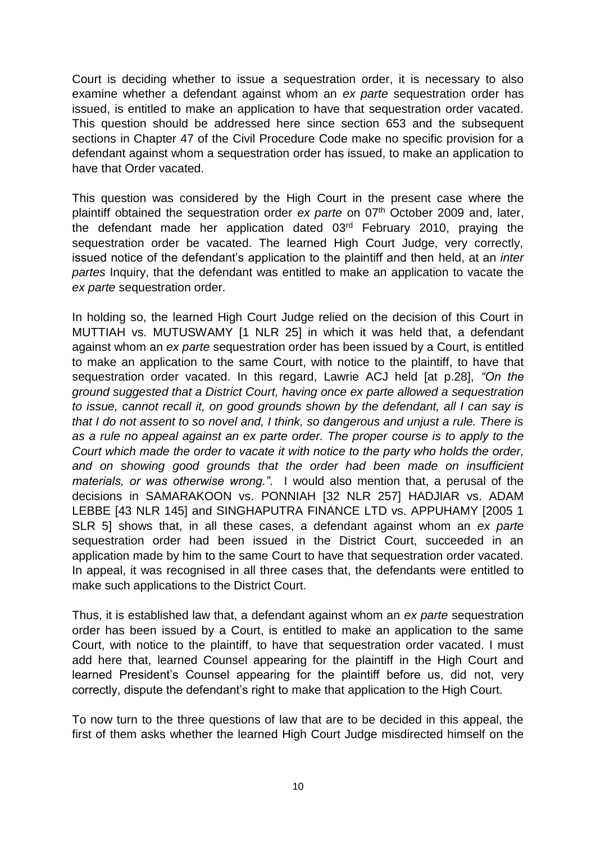Court is deciding whether to issue a sequestration order, it is necessary to also examine whether a defendant against whom an *ex parte* sequestration order has issued, is entitled to make an application to have that sequestration order vacated. This question should be addressed here since section 653 and the subsequent sections in Chapter 47 of the Civil Procedure Code make no specific provision for a defendant against whom a sequestration order has issued, to make an application to have that Order vacated.

This question was considered by the High Court in the present case where the plaintiff obtained the sequestration order *ex parte* on 07<sup>th</sup> October 2009 and, later, the defendant made her application dated 03rd February 2010, praying the sequestration order be vacated. The learned High Court Judge, very correctly, issued notice of the defendant's application to the plaintiff and then held, at an *inter partes* Inquiry, that the defendant was entitled to make an application to vacate the *ex parte* sequestration order.

In holding so, the learned High Court Judge relied on the decision of this Court in MUTTIAH vs. MUTUSWAMY [1 NLR 25] in which it was held that, a defendant against whom an *ex parte* sequestration order has been issued by a Court, is entitled to make an application to the same Court, with notice to the plaintiff, to have that sequestration order vacated. In this regard, Lawrie ACJ held [at p.28], *"On the ground suggested that a District Court, having once ex parte allowed a sequestration to issue, cannot recall it, on good grounds shown by the defendant, all I can say is that I do not assent to so novel and, I think, so dangerous and unjust a rule. There is as a rule no appeal against an ex parte order. The proper course is to apply to the Court which made the order to vacate it with notice to the party who holds the order,*  and on showing good grounds that the order had been made on insufficient *materials, or was otherwise wrong."*. I would also mention that, a perusal of the decisions in SAMARAKOON vs. PONNIAH [32 NLR 257] HADJIAR vs. ADAM LEBBE [43 NLR 145] and SINGHAPUTRA FINANCE LTD vs. APPUHAMY [2005 1 SLR 5] shows that, in all these cases, a defendant against whom an *ex parte* sequestration order had been issued in the District Court, succeeded in an application made by him to the same Court to have that sequestration order vacated. In appeal, it was recognised in all three cases that, the defendants were entitled to make such applications to the District Court.

Thus, it is established law that, a defendant against whom an *ex parte* sequestration order has been issued by a Court, is entitled to make an application to the same Court, with notice to the plaintiff, to have that sequestration order vacated. I must add here that, learned Counsel appearing for the plaintiff in the High Court and learned President's Counsel appearing for the plaintiff before us, did not, very correctly, dispute the defendant's right to make that application to the High Court.

To now turn to the three questions of law that are to be decided in this appeal, the first of them asks whether the learned High Court Judge misdirected himself on the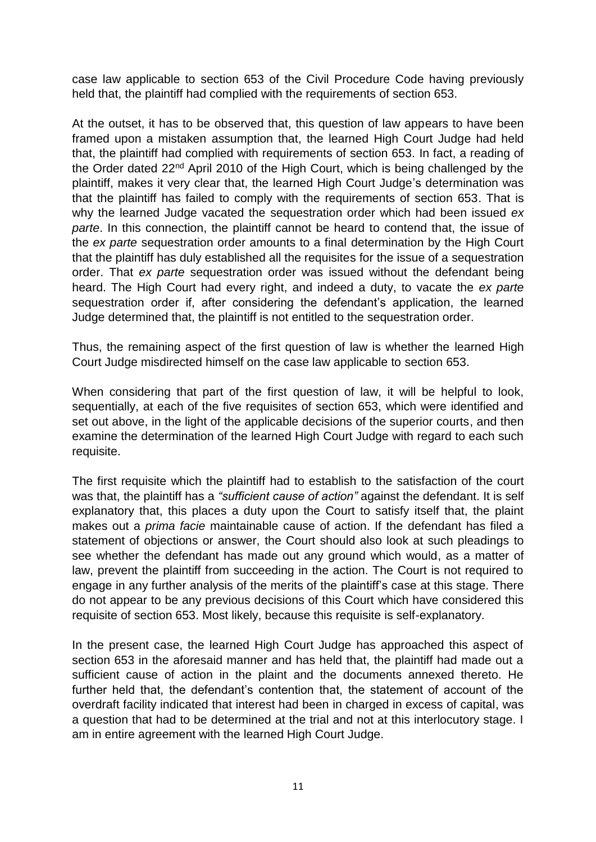case law applicable to section 653 of the Civil Procedure Code having previously held that, the plaintiff had complied with the requirements of section 653.

At the outset, it has to be observed that, this question of law appears to have been framed upon a mistaken assumption that, the learned High Court Judge had held that, the plaintiff had complied with requirements of section 653. In fact, a reading of the Order dated 22nd April 2010 of the High Court, which is being challenged by the plaintiff, makes it very clear that, the learned High Court Judge's determination was that the plaintiff has failed to comply with the requirements of section 653. That is why the learned Judge vacated the sequestration order which had been issued *ex parte*. In this connection, the plaintiff cannot be heard to contend that, the issue of the *ex parte* sequestration order amounts to a final determination by the High Court that the plaintiff has duly established all the requisites for the issue of a sequestration order. That *ex parte* sequestration order was issued without the defendant being heard. The High Court had every right, and indeed a duty, to vacate the *ex parte* sequestration order if, after considering the defendant's application, the learned Judge determined that, the plaintiff is not entitled to the sequestration order.

Thus, the remaining aspect of the first question of law is whether the learned High Court Judge misdirected himself on the case law applicable to section 653.

When considering that part of the first question of law, it will be helpful to look, sequentially, at each of the five requisites of section 653, which were identified and set out above, in the light of the applicable decisions of the superior courts, and then examine the determination of the learned High Court Judge with regard to each such requisite.

The first requisite which the plaintiff had to establish to the satisfaction of the court was that, the plaintiff has a *"sufficient cause of action"* against the defendant. It is self explanatory that, this places a duty upon the Court to satisfy itself that, the plaint makes out a *prima facie* maintainable cause of action. If the defendant has filed a statement of objections or answer, the Court should also look at such pleadings to see whether the defendant has made out any ground which would, as a matter of law, prevent the plaintiff from succeeding in the action. The Court is not required to engage in any further analysis of the merits of the plaintiff's case at this stage. There do not appear to be any previous decisions of this Court which have considered this requisite of section 653. Most likely, because this requisite is self-explanatory.

In the present case, the learned High Court Judge has approached this aspect of section 653 in the aforesaid manner and has held that, the plaintiff had made out a sufficient cause of action in the plaint and the documents annexed thereto. He further held that, the defendant's contention that, the statement of account of the overdraft facility indicated that interest had been in charged in excess of capital, was a question that had to be determined at the trial and not at this interlocutory stage. I am in entire agreement with the learned High Court Judge.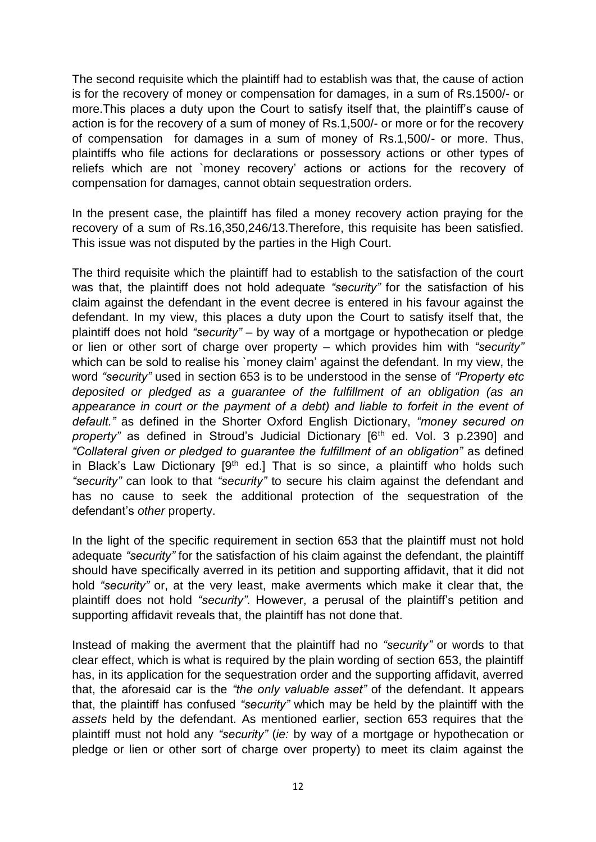The second requisite which the plaintiff had to establish was that, the cause of action is for the recovery of money or compensation for damages, in a sum of Rs.1500/- or more.This places a duty upon the Court to satisfy itself that, the plaintiff's cause of action is for the recovery of a sum of money of Rs.1,500/- or more or for the recovery of compensation for damages in a sum of money of Rs.1,500/- or more. Thus, plaintiffs who file actions for declarations or possessory actions or other types of reliefs which are not `money recovery' actions or actions for the recovery of compensation for damages, cannot obtain sequestration orders.

In the present case, the plaintiff has filed a money recovery action praying for the recovery of a sum of Rs.16,350,246/13.Therefore, this requisite has been satisfied. This issue was not disputed by the parties in the High Court.

The third requisite which the plaintiff had to establish to the satisfaction of the court was that, the plaintiff does not hold adequate *"security"* for the satisfaction of his claim against the defendant in the event decree is entered in his favour against the defendant. In my view, this places a duty upon the Court to satisfy itself that, the plaintiff does not hold *"security"* – by way of a mortgage or hypothecation or pledge or lien or other sort of charge over property – which provides him with *"security"* which can be sold to realise his `money claim' against the defendant. In my view, the word *"security"* used in section 653 is to be understood in the sense of *"Property etc deposited or pledged as a guarantee of the fulfillment of an obligation (as an appearance in court or the payment of a debt) and liable to forfeit in the event of default."* as defined in the Shorter Oxford English Dictionary, *"money secured on property*" as defined in Stroud's Judicial Dictionary [6<sup>th</sup> ed. Vol. 3 p.2390] and *"Collateral given or pledged to guarantee the fulfillment of an obligation"* as defined in Black's Law Dictionary  $[9<sup>th</sup>$  ed.] That is so since, a plaintiff who holds such *"security"* can look to that *"security"* to secure his claim against the defendant and has no cause to seek the additional protection of the sequestration of the defendant's *other* property.

In the light of the specific requirement in section 653 that the plaintiff must not hold adequate *"security"* for the satisfaction of his claim against the defendant, the plaintiff should have specifically averred in its petition and supporting affidavit, that it did not hold *"security"* or, at the very least, make averments which make it clear that, the plaintiff does not hold *"security"*. However, a perusal of the plaintiff's petition and supporting affidavit reveals that, the plaintiff has not done that.

Instead of making the averment that the plaintiff had no *"security"* or words to that clear effect, which is what is required by the plain wording of section 653, the plaintiff has, in its application for the sequestration order and the supporting affidavit, averred that, the aforesaid car is the *"the only valuable asset"* of the defendant. It appears that, the plaintiff has confused *"security"* which may be held by the plaintiff with the *assets* held by the defendant. As mentioned earlier, section 653 requires that the plaintiff must not hold any *"security"* (*ie:* by way of a mortgage or hypothecation or pledge or lien or other sort of charge over property) to meet its claim against the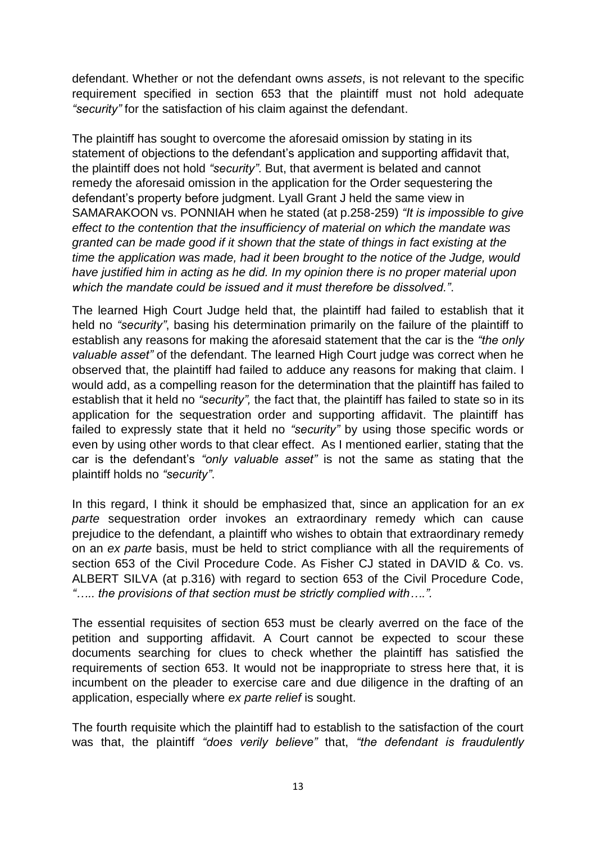defendant. Whether or not the defendant owns *assets*, is not relevant to the specific requirement specified in section 653 that the plaintiff must not hold adequate *"security"* for the satisfaction of his claim against the defendant.

The plaintiff has sought to overcome the aforesaid omission by stating in its statement of objections to the defendant's application and supporting affidavit that, the plaintiff does not hold *"security"*. But, that averment is belated and cannot remedy the aforesaid omission in the application for the Order sequestering the defendant's property before judgment. Lyall Grant J held the same view in SAMARAKOON vs. PONNIAH when he stated (at p.258-259) *"It is impossible to give effect to the contention that the insufficiency of material on which the mandate was granted can be made good if it shown that the state of things in fact existing at the time the application was made, had it been brought to the notice of the Judge, would have justified him in acting as he did. In my opinion there is no proper material upon which the mandate could be issued and it must therefore be dissolved."*.

The learned High Court Judge held that, the plaintiff had failed to establish that it held no *"security"*, basing his determination primarily on the failure of the plaintiff to establish any reasons for making the aforesaid statement that the car is the *"the only valuable asset"* of the defendant. The learned High Court judge was correct when he observed that, the plaintiff had failed to adduce any reasons for making that claim. I would add, as a compelling reason for the determination that the plaintiff has failed to establish that it held no *"security",* the fact that, the plaintiff has failed to state so in its application for the sequestration order and supporting affidavit. The plaintiff has failed to expressly state that it held no *"security"* by using those specific words or even by using other words to that clear effect. As I mentioned earlier, stating that the car is the defendant's *"only valuable asset"* is not the same as stating that the plaintiff holds no *"security"*.

In this regard, I think it should be emphasized that, since an application for an *ex parte* sequestration order invokes an extraordinary remedy which can cause prejudice to the defendant, a plaintiff who wishes to obtain that extraordinary remedy on an *ex parte* basis, must be held to strict compliance with all the requirements of section 653 of the Civil Procedure Code. As Fisher CJ stated in DAVID & Co. vs. ALBERT SILVA (at p.316) with regard to section 653 of the Civil Procedure Code, *"….. the provisions of that section must be strictly complied with….".*

The essential requisites of section 653 must be clearly averred on the face of the petition and supporting affidavit. A Court cannot be expected to scour these documents searching for clues to check whether the plaintiff has satisfied the requirements of section 653. It would not be inappropriate to stress here that, it is incumbent on the pleader to exercise care and due diligence in the drafting of an application, especially where *ex parte relief* is sought.

The fourth requisite which the plaintiff had to establish to the satisfaction of the court was that, the plaintiff *"does verily believe"* that, *"the defendant is fraudulently*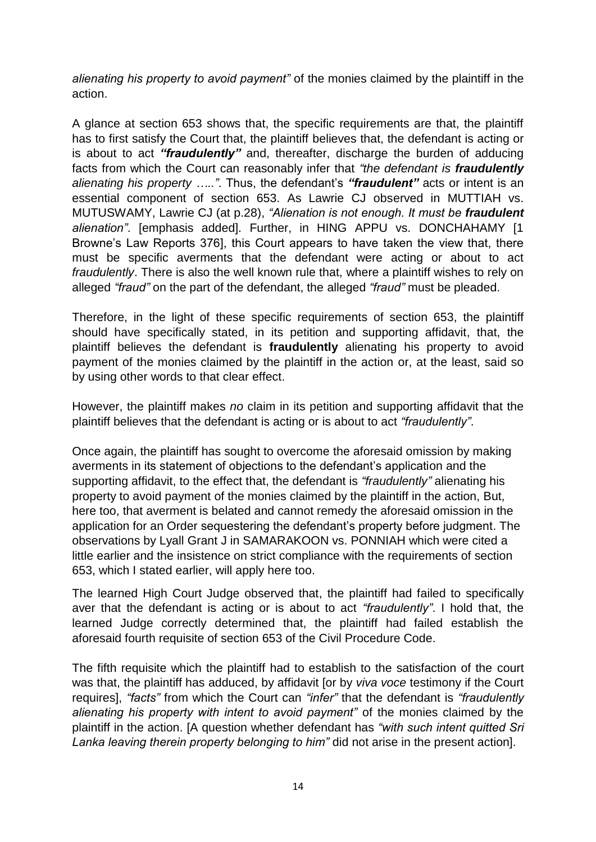*alienating his property to avoid payment"* of the monies claimed by the plaintiff in the action.

A glance at section 653 shows that, the specific requirements are that, the plaintiff has to first satisfy the Court that, the plaintiff believes that, the defendant is acting or is about to act *"fraudulently"* and, thereafter, discharge the burden of adducing facts from which the Court can reasonably infer that *"the defendant is fraudulently alienating his property ….."*. Thus, the defendant's *"fraudulent"* acts or intent is an essential component of section 653. As Lawrie CJ observed in MUTTIAH vs. MUTUSWAMY, Lawrie CJ (at p.28), *"Alienation is not enough. It must be fraudulent alienation"*. [emphasis added]. Further, in HING APPU vs. DONCHAHAMY [1 Browne's Law Reports 376], this Court appears to have taken the view that, there must be specific averments that the defendant were acting or about to act *fraudulently*. There is also the well known rule that, where a plaintiff wishes to rely on alleged *"fraud"* on the part of the defendant, the alleged *"fraud"* must be pleaded.

Therefore, in the light of these specific requirements of section 653, the plaintiff should have specifically stated, in its petition and supporting affidavit, that, the plaintiff believes the defendant is **fraudulently** alienating his property to avoid payment of the monies claimed by the plaintiff in the action or, at the least, said so by using other words to that clear effect.

However, the plaintiff makes *no* claim in its petition and supporting affidavit that the plaintiff believes that the defendant is acting or is about to act *"fraudulently"*.

Once again, the plaintiff has sought to overcome the aforesaid omission by making averments in its statement of objections to the defendant's application and the supporting affidavit, to the effect that, the defendant is *"fraudulently"* alienating his property to avoid payment of the monies claimed by the plaintiff in the action, But, here too, that averment is belated and cannot remedy the aforesaid omission in the application for an Order sequestering the defendant's property before judgment. The observations by Lyall Grant J in SAMARAKOON vs. PONNIAH which were cited a little earlier and the insistence on strict compliance with the requirements of section 653, which I stated earlier, will apply here too.

The learned High Court Judge observed that, the plaintiff had failed to specifically aver that the defendant is acting or is about to act *"fraudulently"*. I hold that, the learned Judge correctly determined that, the plaintiff had failed establish the aforesaid fourth requisite of section 653 of the Civil Procedure Code.

The fifth requisite which the plaintiff had to establish to the satisfaction of the court was that, the plaintiff has adduced, by affidavit [or by *viva voce* testimony if the Court requires], *"facts"* from which the Court can *"infer"* that the defendant is *"fraudulently alienating his property with intent to avoid payment"* of the monies claimed by the plaintiff in the action. [A question whether defendant has *"with such intent quitted Sri Lanka leaving therein property belonging to him"* did not arise in the present action].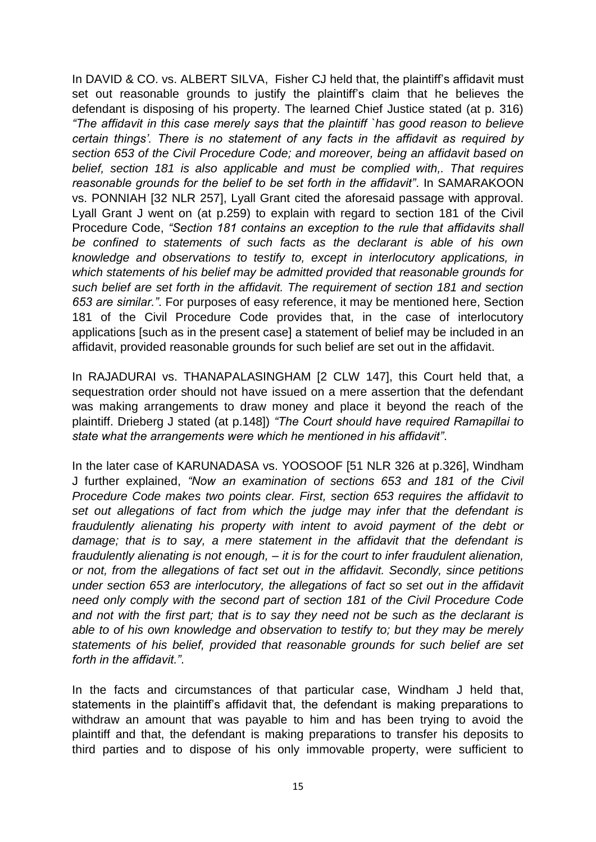In DAVID & CO. vs. ALBERT SILVA, Fisher CJ held that, the plaintiff's affidavit must set out reasonable grounds to justify the plaintiff's claim that he believes the defendant is disposing of his property. The learned Chief Justice stated (at p. 316) *"The affidavit in this case merely says that the plaintiff `has good reason to believe certain things'. There is no statement of any facts in the affidavit as required by section 653 of the Civil Procedure Code; and moreover, being an affidavit based on belief, section 181 is also applicable and must be complied with,. That requires reasonable grounds for the belief to be set forth in the affidavit"*. In SAMARAKOON vs. PONNIAH [32 NLR 257], Lyall Grant cited the aforesaid passage with approval. Lyall Grant J went on (at p.259) to explain with regard to section 181 of the Civil Procedure Code, *"Section 181 contains an exception to the rule that affidavits shall be confined to statements of such facts as the declarant is able of his own knowledge and observations to testify to, except in interlocutory applications, in which statements of his belief may be admitted provided that reasonable grounds for such belief are set forth in the affidavit. The requirement of section 181 and section 653 are similar."*. For purposes of easy reference, it may be mentioned here, Section 181 of the Civil Procedure Code provides that, in the case of interlocutory applications [such as in the present case] a statement of belief may be included in an affidavit, provided reasonable grounds for such belief are set out in the affidavit.

In RAJADURAI vs. THANAPALASINGHAM [2 CLW 147], this Court held that, a sequestration order should not have issued on a mere assertion that the defendant was making arrangements to draw money and place it beyond the reach of the plaintiff. Drieberg J stated (at p.148]) *"The Court should have required Ramapillai to state what the arrangements were which he mentioned in his affidavit"*.

In the later case of KARUNADASA vs. YOOSOOF [51 NLR 326 at p.326], Windham J further explained, *"Now an examination of sections 653 and 181 of the Civil Procedure Code makes two points clear. First, section 653 requires the affidavit to set out allegations of fact from which the judge may infer that the defendant is fraudulently alienating his property with intent to avoid payment of the debt or damage; that is to say, a mere statement in the affidavit that the defendant is fraudulently alienating is not enough, – it is for the court to infer fraudulent alienation, or not, from the allegations of fact set out in the affidavit. Secondly, since petitions under section 653 are interlocutory, the allegations of fact so set out in the affidavit need only comply with the second part of section 181 of the Civil Procedure Code and not with the first part; that is to say they need not be such as the declarant is able to of his own knowledge and observation to testify to; but they may be merely statements of his belief, provided that reasonable grounds for such belief are set forth in the affidavit."*.

In the facts and circumstances of that particular case, Windham J held that, statements in the plaintiff's affidavit that, the defendant is making preparations to withdraw an amount that was payable to him and has been trying to avoid the plaintiff and that, the defendant is making preparations to transfer his deposits to third parties and to dispose of his only immovable property, were sufficient to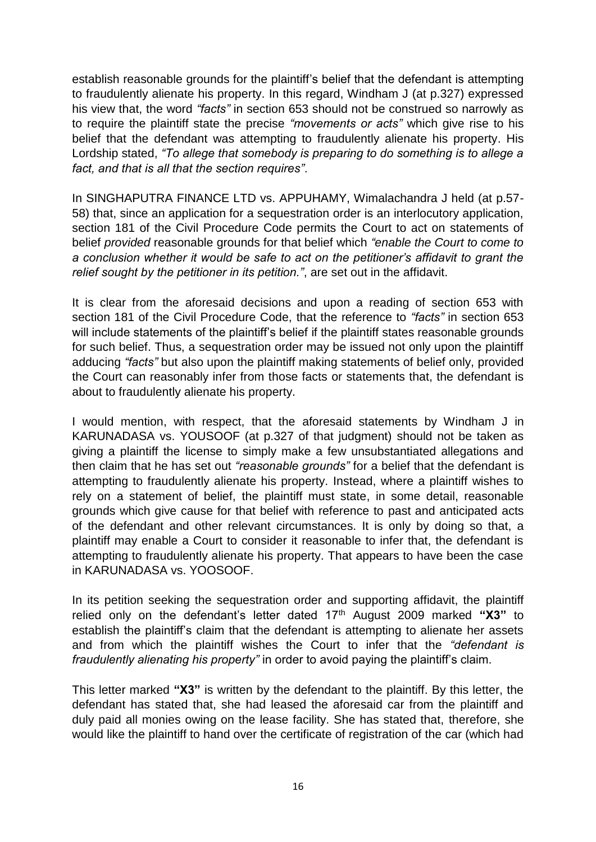establish reasonable grounds for the plaintiff's belief that the defendant is attempting to fraudulently alienate his property. In this regard, Windham J (at p.327) expressed his view that, the word *"facts"* in section 653 should not be construed so narrowly as to require the plaintiff state the precise *"movements or acts"* which give rise to his belief that the defendant was attempting to fraudulently alienate his property. His Lordship stated, *"To allege that somebody is preparing to do something is to allege a fact, and that is all that the section requires"*.

In SINGHAPUTRA FINANCE LTD vs. APPUHAMY, Wimalachandra J held (at p.57- 58) that, since an application for a sequestration order is an interlocutory application, section 181 of the Civil Procedure Code permits the Court to act on statements of belief *provided* reasonable grounds for that belief which *"enable the Court to come to a conclusion whether it would be safe to act on the petitioner's affidavit to grant the relief sought by the petitioner in its petition."*, are set out in the affidavit.

It is clear from the aforesaid decisions and upon a reading of section 653 with section 181 of the Civil Procedure Code, that the reference to *"facts"* in section 653 will include statements of the plaintiff's belief if the plaintiff states reasonable grounds for such belief. Thus, a sequestration order may be issued not only upon the plaintiff adducing *"facts"* but also upon the plaintiff making statements of belief only, provided the Court can reasonably infer from those facts or statements that, the defendant is about to fraudulently alienate his property.

I would mention, with respect, that the aforesaid statements by Windham J in KARUNADASA vs. YOUSOOF (at p.327 of that judgment) should not be taken as giving a plaintiff the license to simply make a few unsubstantiated allegations and then claim that he has set out *"reasonable grounds"* for a belief that the defendant is attempting to fraudulently alienate his property. Instead, where a plaintiff wishes to rely on a statement of belief, the plaintiff must state, in some detail, reasonable grounds which give cause for that belief with reference to past and anticipated acts of the defendant and other relevant circumstances. It is only by doing so that, a plaintiff may enable a Court to consider it reasonable to infer that, the defendant is attempting to fraudulently alienate his property. That appears to have been the case in KARUNADASA vs. YOOSOOF.

In its petition seeking the sequestration order and supporting affidavit, the plaintiff relied only on the defendant's letter dated 17<sup>th</sup> August 2009 marked "X3" to establish the plaintiff's claim that the defendant is attempting to alienate her assets and from which the plaintiff wishes the Court to infer that the *"defendant is fraudulently alienating his property"* in order to avoid paying the plaintiff's claim.

This letter marked **"X3"** is written by the defendant to the plaintiff. By this letter, the defendant has stated that, she had leased the aforesaid car from the plaintiff and duly paid all monies owing on the lease facility. She has stated that, therefore, she would like the plaintiff to hand over the certificate of registration of the car (which had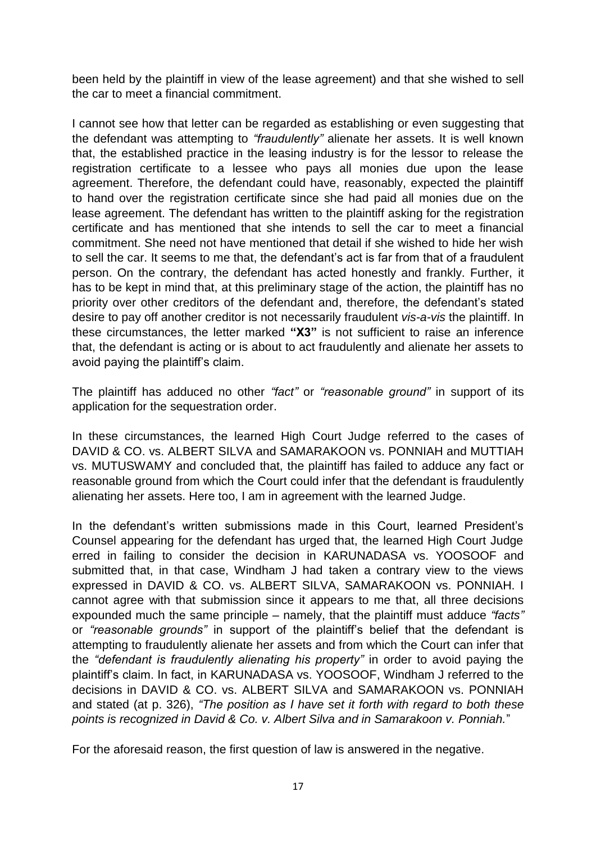been held by the plaintiff in view of the lease agreement) and that she wished to sell the car to meet a financial commitment.

I cannot see how that letter can be regarded as establishing or even suggesting that the defendant was attempting to *"fraudulently"* alienate her assets. It is well known that, the established practice in the leasing industry is for the lessor to release the registration certificate to a lessee who pays all monies due upon the lease agreement. Therefore, the defendant could have, reasonably, expected the plaintiff to hand over the registration certificate since she had paid all monies due on the lease agreement. The defendant has written to the plaintiff asking for the registration certificate and has mentioned that she intends to sell the car to meet a financial commitment. She need not have mentioned that detail if she wished to hide her wish to sell the car. It seems to me that, the defendant's act is far from that of a fraudulent person. On the contrary, the defendant has acted honestly and frankly. Further, it has to be kept in mind that, at this preliminary stage of the action, the plaintiff has no priority over other creditors of the defendant and, therefore, the defendant's stated desire to pay off another creditor is not necessarily fraudulent *vis-a-vis* the plaintiff. In these circumstances, the letter marked **"X3"** is not sufficient to raise an inference that, the defendant is acting or is about to act fraudulently and alienate her assets to avoid paying the plaintiff's claim.

The plaintiff has adduced no other *"fact"* or *"reasonable ground"* in support of its application for the sequestration order.

In these circumstances, the learned High Court Judge referred to the cases of DAVID & CO. vs. ALBERT SILVA and SAMARAKOON vs. PONNIAH and MUTTIAH vs. MUTUSWAMY and concluded that, the plaintiff has failed to adduce any fact or reasonable ground from which the Court could infer that the defendant is fraudulently alienating her assets. Here too, I am in agreement with the learned Judge.

In the defendant's written submissions made in this Court, learned President's Counsel appearing for the defendant has urged that, the learned High Court Judge erred in failing to consider the decision in KARUNADASA vs. YOOSOOF and submitted that, in that case, Windham J had taken a contrary view to the views expressed in DAVID & CO. vs. ALBERT SILVA, SAMARAKOON vs. PONNIAH. I cannot agree with that submission since it appears to me that, all three decisions expounded much the same principle – namely, that the plaintiff must adduce *"facts"* or *"reasonable grounds"* in support of the plaintiff's belief that the defendant is attempting to fraudulently alienate her assets and from which the Court can infer that the *"defendant is fraudulently alienating his property"* in order to avoid paying the plaintiff's claim. In fact, in KARUNADASA vs. YOOSOOF, Windham J referred to the decisions in DAVID & CO. vs. ALBERT SILVA and SAMARAKOON vs. PONNIAH and stated (at p. 326), *"The position as I have set it forth with regard to both these points is recognized in David & Co. v. Albert Silva and in Samarakoon v. Ponniah.*"

For the aforesaid reason, the first question of law is answered in the negative.